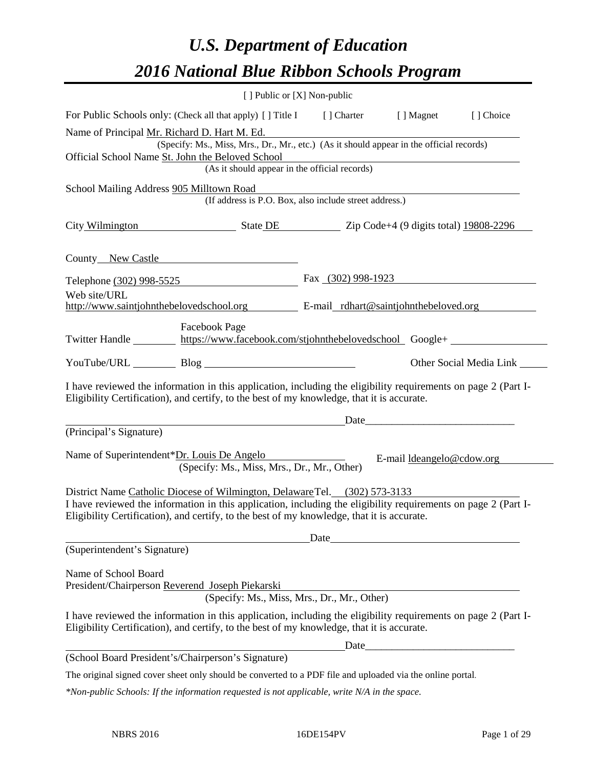# *U.S. Department of Education 2016 National Blue Ribbon Schools Program*

|                                                                                                                                                                                                              | [ ] Public or [X] Non-public |                           |                         |  |
|--------------------------------------------------------------------------------------------------------------------------------------------------------------------------------------------------------------|------------------------------|---------------------------|-------------------------|--|
| For Public Schools only: (Check all that apply) [] Title I [] Charter [] Magnet                                                                                                                              |                              |                           | [] Choice               |  |
| Name of Principal Mr. Richard D. Hart M. Ed.<br>(Specify: Ms., Miss, Mrs., Dr., Mr., etc.) (As it should appear in the official records)                                                                     |                              |                           |                         |  |
| Official School Name St. John the Beloved School<br>(As it should appear in the official records)                                                                                                            |                              |                           |                         |  |
| School Mailing Address 905 Milltown Road<br>IIIOWII ROACI<br>(If address is P.O. Box, also include street address.)                                                                                          |                              |                           |                         |  |
| City Wilmington State DE Zip Code+4 (9 digits total) 19808-2296                                                                                                                                              |                              |                           |                         |  |
| County New Castle                                                                                                                                                                                            |                              |                           |                         |  |
| Telephone (302) 998-5525                                                                                                                                                                                     | Fax $(302)$ 998-1923         |                           |                         |  |
| Web site/URL<br>http://www.saintjohnthebelovedschool.org E-mail_rdhart@saintjohnthebeloved.org                                                                                                               |                              |                           |                         |  |
| <b>Facebook Page</b><br>Twitter Handle https://www.facebook.com/stjohnthebelovedschool Google+                                                                                                               |                              |                           |                         |  |
| YouTube/URL Blog Blog                                                                                                                                                                                        |                              |                           | Other Social Media Link |  |
| I have reviewed the information in this application, including the eligibility requirements on page 2 (Part I-<br>Eligibility Certification), and certify, to the best of my knowledge, that it is accurate. |                              |                           |                         |  |
|                                                                                                                                                                                                              |                              |                           |                         |  |
| (Principal's Signature)                                                                                                                                                                                      |                              |                           |                         |  |
| Name of Superintendent*Dr. Louis De Angelo<br>(Specify: Ms., Miss, Mrs., Dr., Mr., Other)                                                                                                                    |                              | E-mail ldeangelo@cdow.org |                         |  |
| District Name Catholic Diocese of Wilmington, Delaware Tel. (302) 573-3133                                                                                                                                   |                              |                           |                         |  |
| I have reviewed the information in this application, including the eligibility requirements on page 2 (Part I-<br>Eligibility Certification), and certify, to the best of my knowledge, that it is accurate. |                              |                           |                         |  |
| Date                                                                                                                                                                                                         |                              |                           |                         |  |
| (Superintendent's Signature)                                                                                                                                                                                 |                              |                           |                         |  |
| Name of School Board<br>President/Chairperson Reverend Joseph Piekarski<br>(Specify: Ms., Miss, Mrs., Dr., Mr., Other)                                                                                       |                              |                           |                         |  |
| I have reviewed the information in this application, including the eligibility requirements on page 2 (Part I-<br>Eligibility Certification), and certify, to the best of my knowledge, that it is accurate. |                              |                           |                         |  |
|                                                                                                                                                                                                              | Date                         |                           |                         |  |
| (School Board President's/Chairperson's Signature)                                                                                                                                                           |                              |                           |                         |  |
| The original signed cover sheet only should be converted to a PDF file and uploaded via the online portal.                                                                                                   |                              |                           |                         |  |
| *Non-public Schools: If the information requested is not applicable, write N/A in the space.                                                                                                                 |                              |                           |                         |  |

L,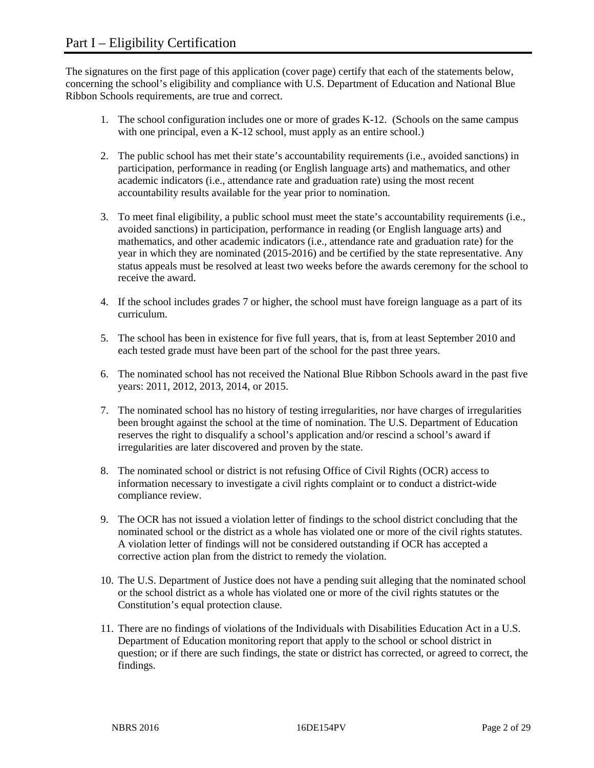The signatures on the first page of this application (cover page) certify that each of the statements below, concerning the school's eligibility and compliance with U.S. Department of Education and National Blue Ribbon Schools requirements, are true and correct.

- 1. The school configuration includes one or more of grades K-12. (Schools on the same campus with one principal, even a K-12 school, must apply as an entire school.)
- 2. The public school has met their state's accountability requirements (i.e., avoided sanctions) in participation, performance in reading (or English language arts) and mathematics, and other academic indicators (i.e., attendance rate and graduation rate) using the most recent accountability results available for the year prior to nomination.
- 3. To meet final eligibility, a public school must meet the state's accountability requirements (i.e., avoided sanctions) in participation, performance in reading (or English language arts) and mathematics, and other academic indicators (i.e., attendance rate and graduation rate) for the year in which they are nominated (2015-2016) and be certified by the state representative. Any status appeals must be resolved at least two weeks before the awards ceremony for the school to receive the award.
- 4. If the school includes grades 7 or higher, the school must have foreign language as a part of its curriculum.
- 5. The school has been in existence for five full years, that is, from at least September 2010 and each tested grade must have been part of the school for the past three years.
- 6. The nominated school has not received the National Blue Ribbon Schools award in the past five years: 2011, 2012, 2013, 2014, or 2015.
- 7. The nominated school has no history of testing irregularities, nor have charges of irregularities been brought against the school at the time of nomination. The U.S. Department of Education reserves the right to disqualify a school's application and/or rescind a school's award if irregularities are later discovered and proven by the state.
- 8. The nominated school or district is not refusing Office of Civil Rights (OCR) access to information necessary to investigate a civil rights complaint or to conduct a district-wide compliance review.
- 9. The OCR has not issued a violation letter of findings to the school district concluding that the nominated school or the district as a whole has violated one or more of the civil rights statutes. A violation letter of findings will not be considered outstanding if OCR has accepted a corrective action plan from the district to remedy the violation.
- 10. The U.S. Department of Justice does not have a pending suit alleging that the nominated school or the school district as a whole has violated one or more of the civil rights statutes or the Constitution's equal protection clause.
- 11. There are no findings of violations of the Individuals with Disabilities Education Act in a U.S. Department of Education monitoring report that apply to the school or school district in question; or if there are such findings, the state or district has corrected, or agreed to correct, the findings.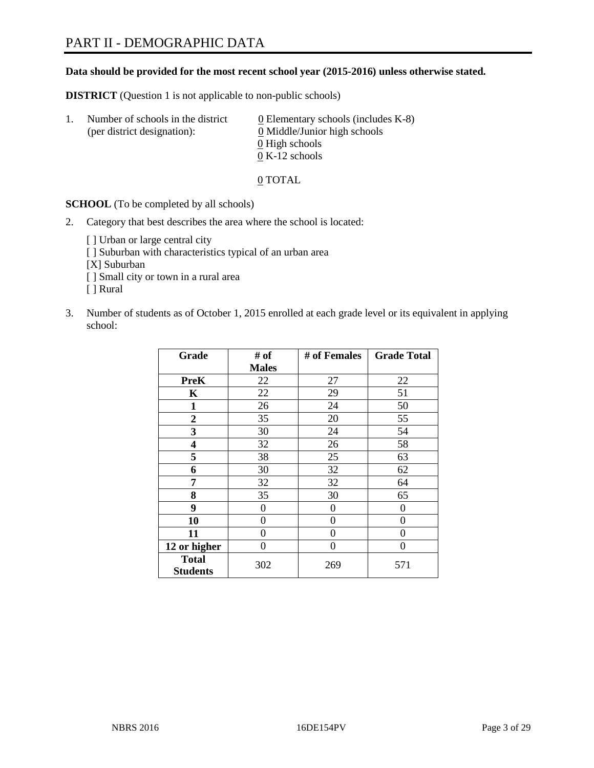#### **Data should be provided for the most recent school year (2015-2016) unless otherwise stated.**

**DISTRICT** (Question 1 is not applicable to non-public schools)

| Ι. | Number of schools in the district<br>(per district designation): | $\underline{0}$ Elementary schools (includes K-8)<br>0 Middle/Junior high schools |
|----|------------------------------------------------------------------|-----------------------------------------------------------------------------------|
|    |                                                                  | 0 High schools                                                                    |
|    |                                                                  | $0 K-12$ schools                                                                  |

0 TOTAL

**SCHOOL** (To be completed by all schools)

- 2. Category that best describes the area where the school is located:
	- [] Urban or large central city [ ] Suburban with characteristics typical of an urban area [X] Suburban [ ] Small city or town in a rural area [ ] Rural
- 3. Number of students as of October 1, 2015 enrolled at each grade level or its equivalent in applying school:

| Grade                           | # of         | # of Females | <b>Grade Total</b> |
|---------------------------------|--------------|--------------|--------------------|
|                                 | <b>Males</b> |              |                    |
| <b>PreK</b>                     | 22           | 27           | 22                 |
| $\mathbf K$                     | 22           | 29           | 51                 |
| $\mathbf{1}$                    | 26           | 24           | 50                 |
| $\overline{2}$                  | 35           | 20           | 55                 |
| 3                               | 30           | 24           | 54                 |
| 4                               | 32           | 26           | 58                 |
| 5                               | 38           | 25           | 63                 |
| 6                               | 30           | 32           | 62                 |
| 7                               | 32           | 32           | 64                 |
| 8                               | 35           | 30           | 65                 |
| 9                               | 0            | $\theta$     | $\theta$           |
| 10                              | 0            | $\theta$     | 0                  |
| 11                              | 0            | 0            | 0                  |
| 12 or higher                    | 0            | 0            | 0                  |
| <b>Total</b><br><b>Students</b> | 302          | 269          | 571                |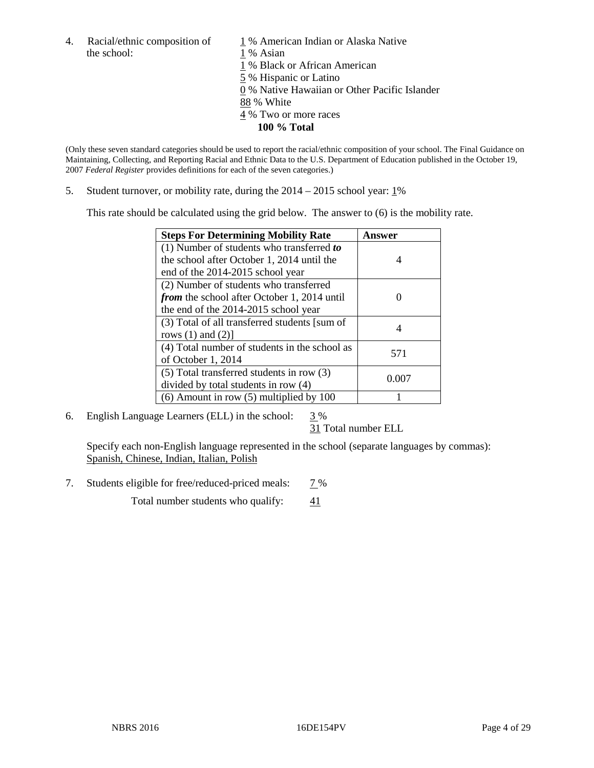4. Racial/ethnic composition of  $\frac{1}{1}$ % American Indian or Alaska Native the school:  $\frac{1}{1}$ % Asian

1 % Asian % Black or African American % Hispanic or Latino % Native Hawaiian or Other Pacific Islander 88 % White % Two or more races

**100 % Total**

(Only these seven standard categories should be used to report the racial/ethnic composition of your school. The Final Guidance on Maintaining, Collecting, and Reporting Racial and Ethnic Data to the U.S. Department of Education published in the October 19, 2007 *Federal Register* provides definitions for each of the seven categories.)

5. Student turnover, or mobility rate, during the  $2014 - 2015$  school year:  $1\%$ 

This rate should be calculated using the grid below. The answer to (6) is the mobility rate.

| <b>Steps For Determining Mobility Rate</b>         | Answer |
|----------------------------------------------------|--------|
| (1) Number of students who transferred to          |        |
| the school after October 1, 2014 until the         | 4      |
| end of the 2014-2015 school year                   |        |
| (2) Number of students who transferred             |        |
| <i>from</i> the school after October 1, 2014 until |        |
| the end of the 2014-2015 school year               |        |
| (3) Total of all transferred students [sum of      |        |
| rows $(1)$ and $(2)$ ]                             |        |
| (4) Total number of students in the school as      | 571    |
| of October 1, 2014                                 |        |
| $(5)$ Total transferred students in row $(3)$      |        |
| divided by total students in row (4)               | 0.007  |
| $(6)$ Amount in row $(5)$ multiplied by 100        |        |

6. English Language Learners (ELL) in the school:  $3\%$ 

31 Total number ELL

Specify each non-English language represented in the school (separate languages by commas): Spanish, Chinese, Indian, Italian, Polish

7. Students eligible for free/reduced-priced meals: 7%

Total number students who qualify:  $\frac{41}{41}$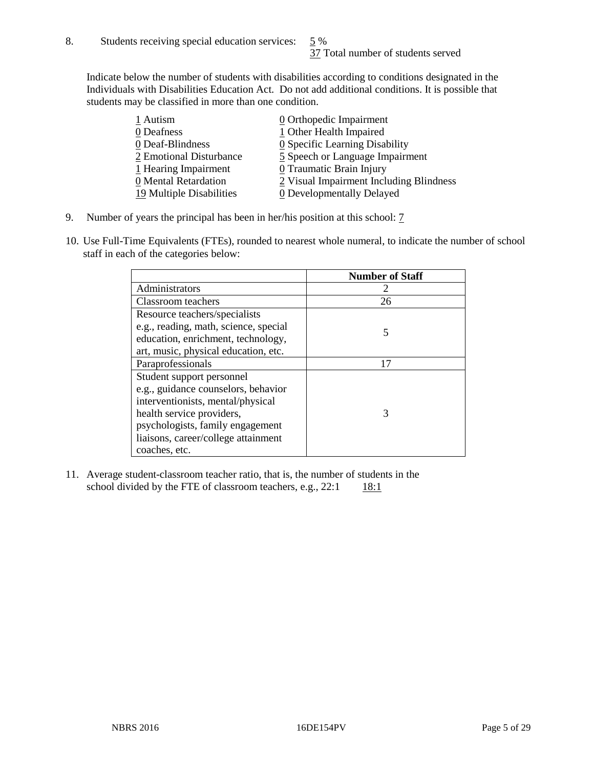Indicate below the number of students with disabilities according to conditions designated in the Individuals with Disabilities Education Act. Do not add additional conditions. It is possible that students may be classified in more than one condition.

| 1 Autism                 | 0 Orthopedic Impairment                      |
|--------------------------|----------------------------------------------|
| 0 Deafness               | 1 Other Health Impaired                      |
| 0 Deaf-Blindness         | $\underline{0}$ Specific Learning Disability |
| 2 Emotional Disturbance  | 5 Speech or Language Impairment              |
| 1 Hearing Impairment     | 0 Traumatic Brain Injury                     |
| 0 Mental Retardation     | 2 Visual Impairment Including Blindness      |
| 19 Multiple Disabilities | <b>0</b> Developmentally Delayed             |

- 9. Number of years the principal has been in her/his position at this school:  $\overline{2}$
- 10. Use Full-Time Equivalents (FTEs), rounded to nearest whole numeral, to indicate the number of school staff in each of the categories below:

|                                       | <b>Number of Staff</b> |
|---------------------------------------|------------------------|
| Administrators                        |                        |
| Classroom teachers                    | 26                     |
| Resource teachers/specialists         |                        |
| e.g., reading, math, science, special |                        |
| education, enrichment, technology,    |                        |
| art, music, physical education, etc.  |                        |
| Paraprofessionals                     | 17                     |
| Student support personnel             |                        |
| e.g., guidance counselors, behavior   |                        |
| interventionists, mental/physical     |                        |
| health service providers,             | 3                      |
| psychologists, family engagement      |                        |
| liaisons, career/college attainment   |                        |
| coaches, etc.                         |                        |

11. Average student-classroom teacher ratio, that is, the number of students in the school divided by the FTE of classroom teachers, e.g.,  $22:1$  18:1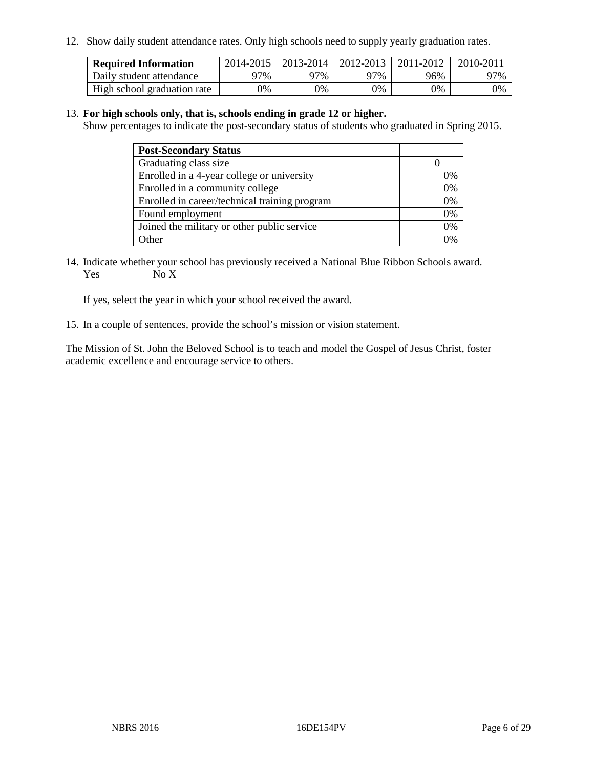12. Show daily student attendance rates. Only high schools need to supply yearly graduation rates.

| <b>Required Information</b> |     | 2014-2015   2013-2014   2012-2013 |     | 2011-2012 | 2010-2011 |
|-----------------------------|-----|-----------------------------------|-----|-----------|-----------|
| Daily student attendance    | 97% | 97%                               | 97% | 96%       | 97%       |
| High school graduation rate | 0%  | 0%                                | 0%  | 9%        | 0%        |

#### 13. **For high schools only, that is, schools ending in grade 12 or higher.**

Show percentages to indicate the post-secondary status of students who graduated in Spring 2015.

| <b>Post-Secondary Status</b>                  |    |
|-----------------------------------------------|----|
| Graduating class size                         |    |
| Enrolled in a 4-year college or university    | 0% |
| Enrolled in a community college               | 0% |
| Enrolled in career/technical training program | 0% |
| Found employment                              | 0% |
| Joined the military or other public service   | 0% |
| Other                                         | 0/ |

14. Indicate whether your school has previously received a National Blue Ribbon Schools award. Yes No X

If yes, select the year in which your school received the award.

15. In a couple of sentences, provide the school's mission or vision statement.

The Mission of St. John the Beloved School is to teach and model the Gospel of Jesus Christ, foster academic excellence and encourage service to others.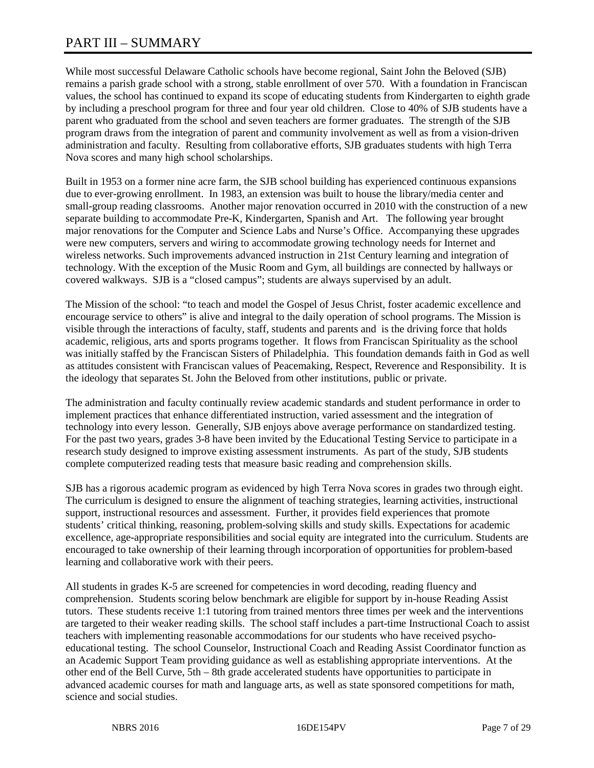# PART III – SUMMARY

While most successful Delaware Catholic schools have become regional, Saint John the Beloved (SJB) remains a parish grade school with a strong, stable enrollment of over 570. With a foundation in Franciscan values, the school has continued to expand its scope of educating students from Kindergarten to eighth grade by including a preschool program for three and four year old children. Close to 40% of SJB students have a parent who graduated from the school and seven teachers are former graduates. The strength of the SJB program draws from the integration of parent and community involvement as well as from a vision-driven administration and faculty. Resulting from collaborative efforts, SJB graduates students with high Terra Nova scores and many high school scholarships.

Built in 1953 on a former nine acre farm, the SJB school building has experienced continuous expansions due to ever-growing enrollment. In 1983, an extension was built to house the library/media center and small-group reading classrooms. Another major renovation occurred in 2010 with the construction of a new separate building to accommodate Pre-K, Kindergarten, Spanish and Art. The following year brought major renovations for the Computer and Science Labs and Nurse's Office. Accompanying these upgrades were new computers, servers and wiring to accommodate growing technology needs for Internet and wireless networks. Such improvements advanced instruction in 21st Century learning and integration of technology. With the exception of the Music Room and Gym, all buildings are connected by hallways or covered walkways. SJB is a "closed campus"; students are always supervised by an adult.

The Mission of the school: "to teach and model the Gospel of Jesus Christ, foster academic excellence and encourage service to others" is alive and integral to the daily operation of school programs. The Mission is visible through the interactions of faculty, staff, students and parents and is the driving force that holds academic, religious, arts and sports programs together. It flows from Franciscan Spirituality as the school was initially staffed by the Franciscan Sisters of Philadelphia. This foundation demands faith in God as well as attitudes consistent with Franciscan values of Peacemaking, Respect, Reverence and Responsibility. It is the ideology that separates St. John the Beloved from other institutions, public or private.

The administration and faculty continually review academic standards and student performance in order to implement practices that enhance differentiated instruction, varied assessment and the integration of technology into every lesson. Generally, SJB enjoys above average performance on standardized testing. For the past two years, grades 3-8 have been invited by the Educational Testing Service to participate in a research study designed to improve existing assessment instruments. As part of the study, SJB students complete computerized reading tests that measure basic reading and comprehension skills.

SJB has a rigorous academic program as evidenced by high Terra Nova scores in grades two through eight. The curriculum is designed to ensure the alignment of teaching strategies, learning activities, instructional support, instructional resources and assessment. Further, it provides field experiences that promote students' critical thinking, reasoning, problem-solving skills and study skills. Expectations for academic excellence, age-appropriate responsibilities and social equity are integrated into the curriculum. Students are encouraged to take ownership of their learning through incorporation of opportunities for problem-based learning and collaborative work with their peers.

All students in grades K-5 are screened for competencies in word decoding, reading fluency and comprehension. Students scoring below benchmark are eligible for support by in-house Reading Assist tutors. These students receive 1:1 tutoring from trained mentors three times per week and the interventions are targeted to their weaker reading skills. The school staff includes a part-time Instructional Coach to assist teachers with implementing reasonable accommodations for our students who have received psychoeducational testing. The school Counselor, Instructional Coach and Reading Assist Coordinator function as an Academic Support Team providing guidance as well as establishing appropriate interventions. At the other end of the Bell Curve, 5th – 8th grade accelerated students have opportunities to participate in advanced academic courses for math and language arts, as well as state sponsored competitions for math, science and social studies.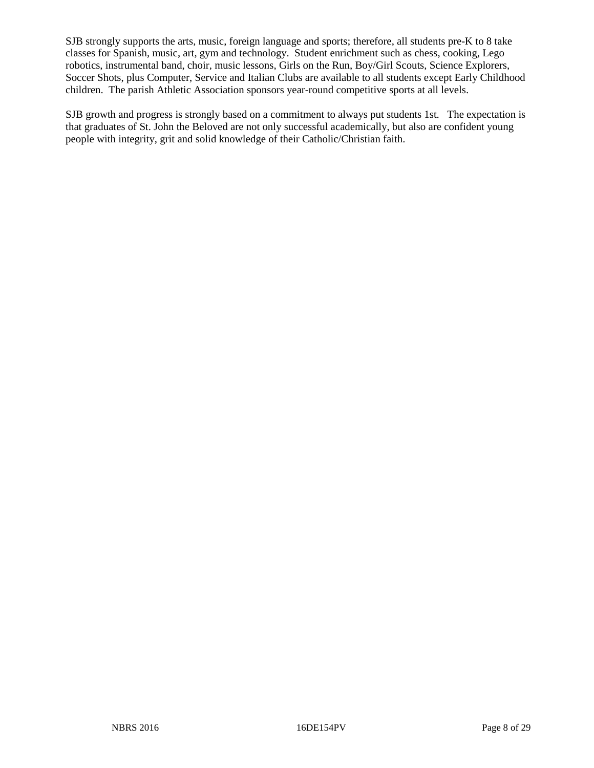SJB strongly supports the arts, music, foreign language and sports; therefore, all students pre-K to 8 take classes for Spanish, music, art, gym and technology. Student enrichment such as chess, cooking, Lego robotics, instrumental band, choir, music lessons, Girls on the Run, Boy/Girl Scouts, Science Explorers, Soccer Shots, plus Computer, Service and Italian Clubs are available to all students except Early Childhood children. The parish Athletic Association sponsors year-round competitive sports at all levels.

SJB growth and progress is strongly based on a commitment to always put students 1st. The expectation is that graduates of St. John the Beloved are not only successful academically, but also are confident young people with integrity, grit and solid knowledge of their Catholic/Christian faith.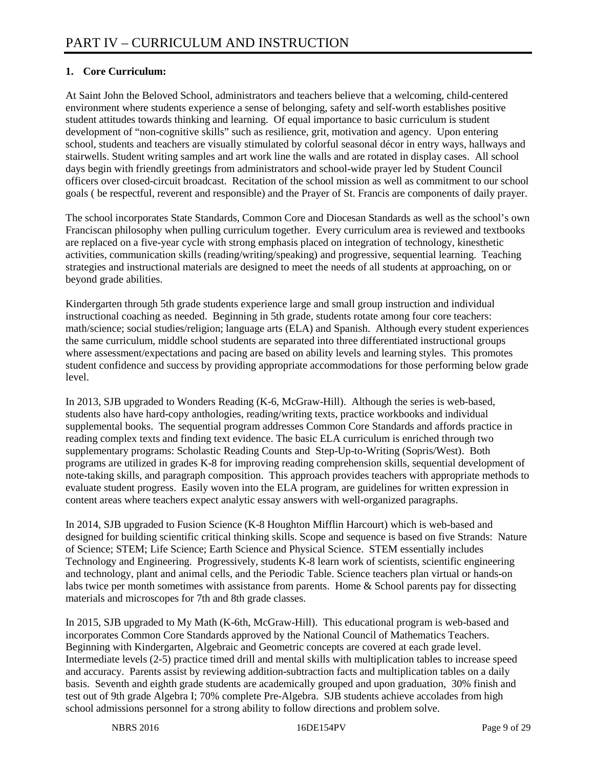# **1. Core Curriculum:**

At Saint John the Beloved School, administrators and teachers believe that a welcoming, child-centered environment where students experience a sense of belonging, safety and self-worth establishes positive student attitudes towards thinking and learning. Of equal importance to basic curriculum is student development of "non-cognitive skills" such as resilience, grit, motivation and agency. Upon entering school, students and teachers are visually stimulated by colorful seasonal décor in entry ways, hallways and stairwells. Student writing samples and art work line the walls and are rotated in display cases. All school days begin with friendly greetings from administrators and school-wide prayer led by Student Council officers over closed-circuit broadcast. Recitation of the school mission as well as commitment to our school goals ( be respectful, reverent and responsible) and the Prayer of St. Francis are components of daily prayer.

The school incorporates State Standards, Common Core and Diocesan Standards as well as the school's own Franciscan philosophy when pulling curriculum together. Every curriculum area is reviewed and textbooks are replaced on a five-year cycle with strong emphasis placed on integration of technology, kinesthetic activities, communication skills (reading/writing/speaking) and progressive, sequential learning. Teaching strategies and instructional materials are designed to meet the needs of all students at approaching, on or beyond grade abilities.

Kindergarten through 5th grade students experience large and small group instruction and individual instructional coaching as needed. Beginning in 5th grade, students rotate among four core teachers: math/science; social studies/religion; language arts (ELA) and Spanish. Although every student experiences the same curriculum, middle school students are separated into three differentiated instructional groups where assessment/expectations and pacing are based on ability levels and learning styles. This promotes student confidence and success by providing appropriate accommodations for those performing below grade level.

In 2013, SJB upgraded to Wonders Reading (K-6, McGraw-Hill). Although the series is web-based, students also have hard-copy anthologies, reading/writing texts, practice workbooks and individual supplemental books. The sequential program addresses Common Core Standards and affords practice in reading complex texts and finding text evidence. The basic ELA curriculum is enriched through two supplementary programs: Scholastic Reading Counts and Step-Up-to-Writing (Sopris/West). Both programs are utilized in grades K-8 for improving reading comprehension skills, sequential development of note-taking skills, and paragraph composition. This approach provides teachers with appropriate methods to evaluate student progress. Easily woven into the ELA program, are guidelines for written expression in content areas where teachers expect analytic essay answers with well-organized paragraphs.

In 2014, SJB upgraded to Fusion Science (K-8 Houghton Mifflin Harcourt) which is web-based and designed for building scientific critical thinking skills. Scope and sequence is based on five Strands: Nature of Science; STEM; Life Science; Earth Science and Physical Science. STEM essentially includes Technology and Engineering. Progressively, students K-8 learn work of scientists, scientific engineering and technology, plant and animal cells, and the Periodic Table. Science teachers plan virtual or hands-on labs twice per month sometimes with assistance from parents. Home & School parents pay for dissecting materials and microscopes for 7th and 8th grade classes.

In 2015, SJB upgraded to My Math (K-6th, McGraw-Hill). This educational program is web-based and incorporates Common Core Standards approved by the National Council of Mathematics Teachers. Beginning with Kindergarten, Algebraic and Geometric concepts are covered at each grade level. Intermediate levels (2-5) practice timed drill and mental skills with multiplication tables to increase speed and accuracy. Parents assist by reviewing addition-subtraction facts and multiplication tables on a daily basis. Seventh and eighth grade students are academically grouped and upon graduation, 30% finish and test out of 9th grade Algebra I; 70% complete Pre-Algebra. SJB students achieve accolades from high school admissions personnel for a strong ability to follow directions and problem solve.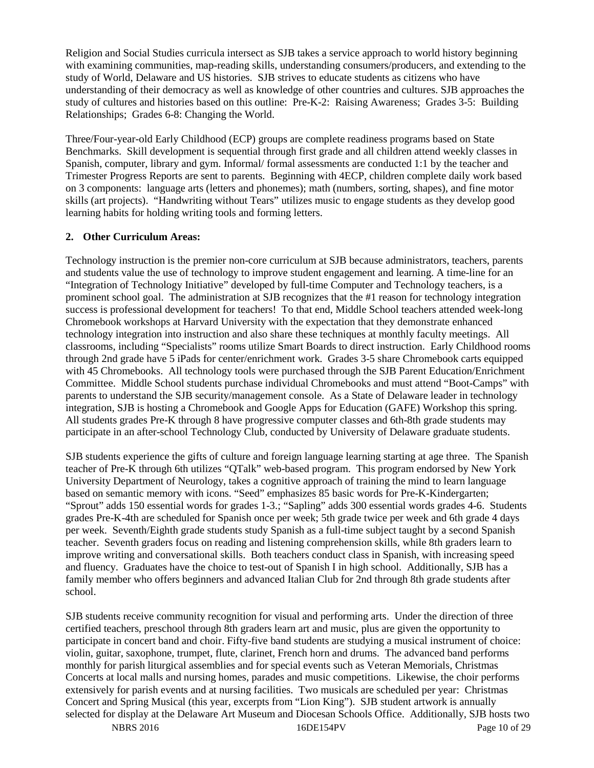Religion and Social Studies curricula intersect as SJB takes a service approach to world history beginning with examining communities, map-reading skills, understanding consumers/producers, and extending to the study of World, Delaware and US histories. SJB strives to educate students as citizens who have understanding of their democracy as well as knowledge of other countries and cultures. SJB approaches the study of cultures and histories based on this outline: Pre-K-2: Raising Awareness; Grades 3-5: Building Relationships; Grades 6-8: Changing the World.

Three/Four-year-old Early Childhood (ECP) groups are complete readiness programs based on State Benchmarks. Skill development is sequential through first grade and all children attend weekly classes in Spanish, computer, library and gym. Informal/ formal assessments are conducted 1:1 by the teacher and Trimester Progress Reports are sent to parents. Beginning with 4ECP, children complete daily work based on 3 components: language arts (letters and phonemes); math (numbers, sorting, shapes), and fine motor skills (art projects). "Handwriting without Tears" utilizes music to engage students as they develop good learning habits for holding writing tools and forming letters.

# **2. Other Curriculum Areas:**

Technology instruction is the premier non-core curriculum at SJB because administrators, teachers, parents and students value the use of technology to improve student engagement and learning. A time-line for an "Integration of Technology Initiative" developed by full-time Computer and Technology teachers, is a prominent school goal. The administration at SJB recognizes that the #1 reason for technology integration success is professional development for teachers! To that end, Middle School teachers attended week-long Chromebook workshops at Harvard University with the expectation that they demonstrate enhanced technology integration into instruction and also share these techniques at monthly faculty meetings. All classrooms, including "Specialists" rooms utilize Smart Boards to direct instruction. Early Childhood rooms through 2nd grade have 5 iPads for center/enrichment work. Grades 3-5 share Chromebook carts equipped with 45 Chromebooks. All technology tools were purchased through the SJB Parent Education/Enrichment Committee. Middle School students purchase individual Chromebooks and must attend "Boot-Camps" with parents to understand the SJB security/management console. As a State of Delaware leader in technology integration, SJB is hosting a Chromebook and Google Apps for Education (GAFE) Workshop this spring. All students grades Pre-K through 8 have progressive computer classes and 6th-8th grade students may participate in an after-school Technology Club, conducted by University of Delaware graduate students.

SJB students experience the gifts of culture and foreign language learning starting at age three. The Spanish teacher of Pre-K through 6th utilizes "QTalk" web-based program. This program endorsed by New York University Department of Neurology, takes a cognitive approach of training the mind to learn language based on semantic memory with icons. "Seed" emphasizes 85 basic words for Pre-K-Kindergarten; "Sprout" adds 150 essential words for grades 1-3.; "Sapling" adds 300 essential words grades 4-6. Students grades Pre-K-4th are scheduled for Spanish once per week; 5th grade twice per week and 6th grade 4 days per week. Seventh/Eighth grade students study Spanish as a full-time subject taught by a second Spanish teacher. Seventh graders focus on reading and listening comprehension skills, while 8th graders learn to improve writing and conversational skills. Both teachers conduct class in Spanish, with increasing speed and fluency. Graduates have the choice to test-out of Spanish I in high school. Additionally, SJB has a family member who offers beginners and advanced Italian Club for 2nd through 8th grade students after school.

SJB students receive community recognition for visual and performing arts. Under the direction of three certified teachers, preschool through 8th graders learn art and music, plus are given the opportunity to participate in concert band and choir. Fifty-five band students are studying a musical instrument of choice: violin, guitar, saxophone, trumpet, flute, clarinet, French horn and drums. The advanced band performs monthly for parish liturgical assemblies and for special events such as Veteran Memorials, Christmas Concerts at local malls and nursing homes, parades and music competitions. Likewise, the choir performs extensively for parish events and at nursing facilities. Two musicals are scheduled per year: Christmas Concert and Spring Musical (this year, excerpts from "Lion King"). SJB student artwork is annually selected for display at the Delaware Art Museum and Diocesan Schools Office. Additionally, SJB hosts two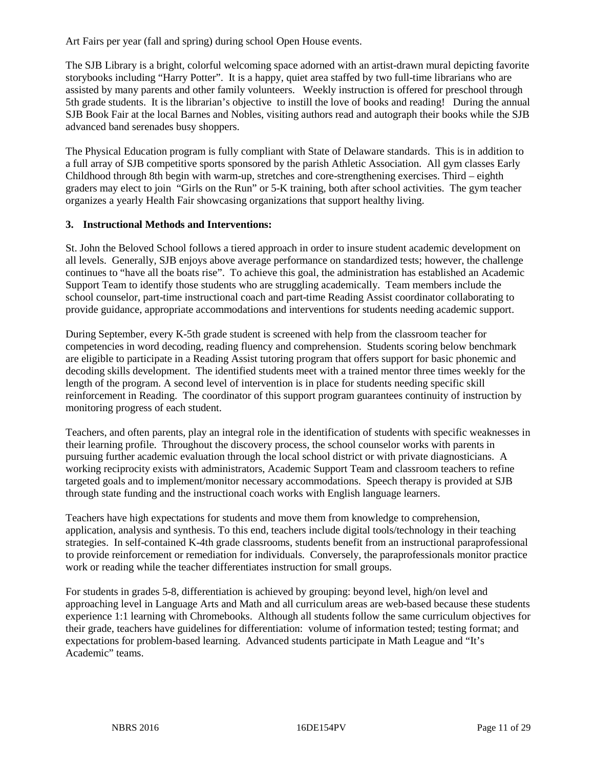Art Fairs per year (fall and spring) during school Open House events.

The SJB Library is a bright, colorful welcoming space adorned with an artist-drawn mural depicting favorite storybooks including "Harry Potter". It is a happy, quiet area staffed by two full-time librarians who are assisted by many parents and other family volunteers. Weekly instruction is offered for preschool through 5th grade students. It is the librarian's objective to instill the love of books and reading! During the annual SJB Book Fair at the local Barnes and Nobles, visiting authors read and autograph their books while the SJB advanced band serenades busy shoppers.

The Physical Education program is fully compliant with State of Delaware standards. This is in addition to a full array of SJB competitive sports sponsored by the parish Athletic Association. All gym classes Early Childhood through 8th begin with warm-up, stretches and core-strengthening exercises. Third – eighth graders may elect to join "Girls on the Run" or 5-K training, both after school activities. The gym teacher organizes a yearly Health Fair showcasing organizations that support healthy living.

#### **3. Instructional Methods and Interventions:**

St. John the Beloved School follows a tiered approach in order to insure student academic development on all levels. Generally, SJB enjoys above average performance on standardized tests; however, the challenge continues to "have all the boats rise". To achieve this goal, the administration has established an Academic Support Team to identify those students who are struggling academically. Team members include the school counselor, part-time instructional coach and part-time Reading Assist coordinator collaborating to provide guidance, appropriate accommodations and interventions for students needing academic support.

During September, every K-5th grade student is screened with help from the classroom teacher for competencies in word decoding, reading fluency and comprehension. Students scoring below benchmark are eligible to participate in a Reading Assist tutoring program that offers support for basic phonemic and decoding skills development. The identified students meet with a trained mentor three times weekly for the length of the program. A second level of intervention is in place for students needing specific skill reinforcement in Reading. The coordinator of this support program guarantees continuity of instruction by monitoring progress of each student.

Teachers, and often parents, play an integral role in the identification of students with specific weaknesses in their learning profile. Throughout the discovery process, the school counselor works with parents in pursuing further academic evaluation through the local school district or with private diagnosticians. A working reciprocity exists with administrators, Academic Support Team and classroom teachers to refine targeted goals and to implement/monitor necessary accommodations. Speech therapy is provided at SJB through state funding and the instructional coach works with English language learners.

Teachers have high expectations for students and move them from knowledge to comprehension, application, analysis and synthesis. To this end, teachers include digital tools/technology in their teaching strategies. In self-contained K-4th grade classrooms, students benefit from an instructional paraprofessional to provide reinforcement or remediation for individuals. Conversely, the paraprofessionals monitor practice work or reading while the teacher differentiates instruction for small groups.

For students in grades 5-8, differentiation is achieved by grouping: beyond level, high/on level and approaching level in Language Arts and Math and all curriculum areas are web-based because these students experience 1:1 learning with Chromebooks. Although all students follow the same curriculum objectives for their grade, teachers have guidelines for differentiation: volume of information tested; testing format; and expectations for problem-based learning. Advanced students participate in Math League and "It's Academic" teams.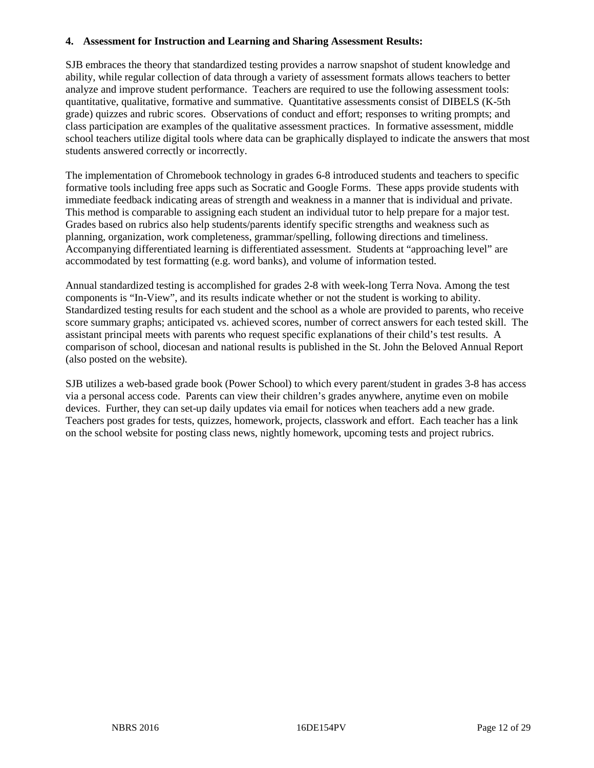#### **4. Assessment for Instruction and Learning and Sharing Assessment Results:**

SJB embraces the theory that standardized testing provides a narrow snapshot of student knowledge and ability, while regular collection of data through a variety of assessment formats allows teachers to better analyze and improve student performance. Teachers are required to use the following assessment tools: quantitative, qualitative, formative and summative. Quantitative assessments consist of DIBELS (K-5th grade) quizzes and rubric scores. Observations of conduct and effort; responses to writing prompts; and class participation are examples of the qualitative assessment practices. In formative assessment, middle school teachers utilize digital tools where data can be graphically displayed to indicate the answers that most students answered correctly or incorrectly.

The implementation of Chromebook technology in grades 6-8 introduced students and teachers to specific formative tools including free apps such as Socratic and Google Forms. These apps provide students with immediate feedback indicating areas of strength and weakness in a manner that is individual and private. This method is comparable to assigning each student an individual tutor to help prepare for a major test. Grades based on rubrics also help students/parents identify specific strengths and weakness such as planning, organization, work completeness, grammar/spelling, following directions and timeliness. Accompanying differentiated learning is differentiated assessment. Students at "approaching level" are accommodated by test formatting (e.g. word banks), and volume of information tested.

Annual standardized testing is accomplished for grades 2-8 with week-long Terra Nova. Among the test components is "In-View", and its results indicate whether or not the student is working to ability. Standardized testing results for each student and the school as a whole are provided to parents, who receive score summary graphs; anticipated vs. achieved scores, number of correct answers for each tested skill. The assistant principal meets with parents who request specific explanations of their child's test results. A comparison of school, diocesan and national results is published in the St. John the Beloved Annual Report (also posted on the website).

SJB utilizes a web-based grade book (Power School) to which every parent/student in grades 3-8 has access via a personal access code. Parents can view their children's grades anywhere, anytime even on mobile devices. Further, they can set-up daily updates via email for notices when teachers add a new grade. Teachers post grades for tests, quizzes, homework, projects, classwork and effort. Each teacher has a link on the school website for posting class news, nightly homework, upcoming tests and project rubrics.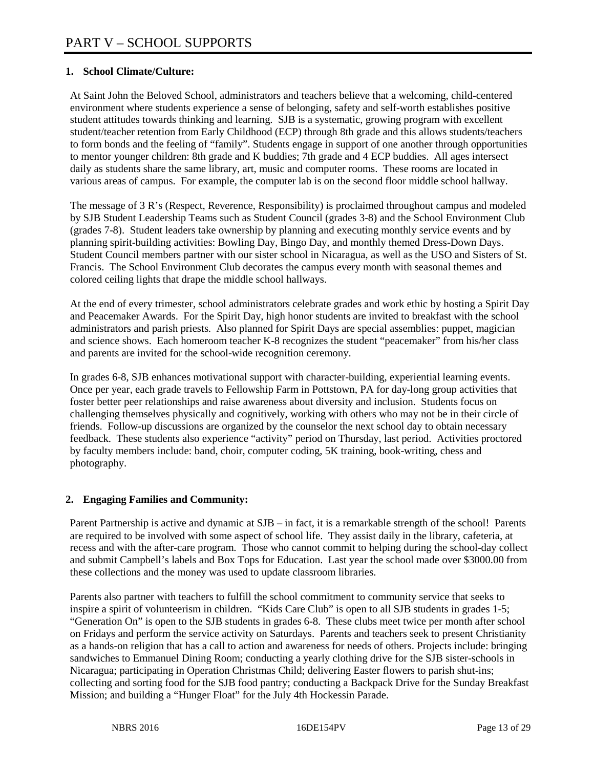# **1. School Climate/Culture:**

At Saint John the Beloved School, administrators and teachers believe that a welcoming, child-centered environment where students experience a sense of belonging, safety and self-worth establishes positive student attitudes towards thinking and learning. SJB is a systematic, growing program with excellent student/teacher retention from Early Childhood (ECP) through 8th grade and this allows students/teachers to form bonds and the feeling of "family". Students engage in support of one another through opportunities to mentor younger children: 8th grade and K buddies; 7th grade and 4 ECP buddies. All ages intersect daily as students share the same library, art, music and computer rooms. These rooms are located in various areas of campus. For example, the computer lab is on the second floor middle school hallway.

The message of 3 R's (Respect, Reverence, Responsibility) is proclaimed throughout campus and modeled by SJB Student Leadership Teams such as Student Council (grades 3-8) and the School Environment Club (grades 7-8). Student leaders take ownership by planning and executing monthly service events and by planning spirit-building activities: Bowling Day, Bingo Day, and monthly themed Dress-Down Days. Student Council members partner with our sister school in Nicaragua, as well as the USO and Sisters of St. Francis. The School Environment Club decorates the campus every month with seasonal themes and colored ceiling lights that drape the middle school hallways.

At the end of every trimester, school administrators celebrate grades and work ethic by hosting a Spirit Day and Peacemaker Awards. For the Spirit Day, high honor students are invited to breakfast with the school administrators and parish priests. Also planned for Spirit Days are special assemblies: puppet, magician and science shows. Each homeroom teacher K-8 recognizes the student "peacemaker" from his/her class and parents are invited for the school-wide recognition ceremony.

In grades 6-8, SJB enhances motivational support with character-building, experiential learning events. Once per year, each grade travels to Fellowship Farm in Pottstown, PA for day-long group activities that foster better peer relationships and raise awareness about diversity and inclusion. Students focus on challenging themselves physically and cognitively, working with others who may not be in their circle of friends. Follow-up discussions are organized by the counselor the next school day to obtain necessary feedback. These students also experience "activity" period on Thursday, last period. Activities proctored by faculty members include: band, choir, computer coding, 5K training, book-writing, chess and photography.

# **2. Engaging Families and Community:**

Parent Partnership is active and dynamic at SJB – in fact, it is a remarkable strength of the school! Parents are required to be involved with some aspect of school life. They assist daily in the library, cafeteria, at recess and with the after-care program. Those who cannot commit to helping during the school-day collect and submit Campbell's labels and Box Tops for Education. Last year the school made over \$3000.00 from these collections and the money was used to update classroom libraries.

Parents also partner with teachers to fulfill the school commitment to community service that seeks to inspire a spirit of volunteerism in children. "Kids Care Club" is open to all SJB students in grades 1-5; "Generation On" is open to the SJB students in grades 6-8. These clubs meet twice per month after school on Fridays and perform the service activity on Saturdays. Parents and teachers seek to present Christianity as a hands-on religion that has a call to action and awareness for needs of others. Projects include: bringing sandwiches to Emmanuel Dining Room; conducting a yearly clothing drive for the SJB sister-schools in Nicaragua; participating in Operation Christmas Child; delivering Easter flowers to parish shut-ins; collecting and sorting food for the SJB food pantry; conducting a Backpack Drive for the Sunday Breakfast Mission; and building a "Hunger Float" for the July 4th Hockessin Parade.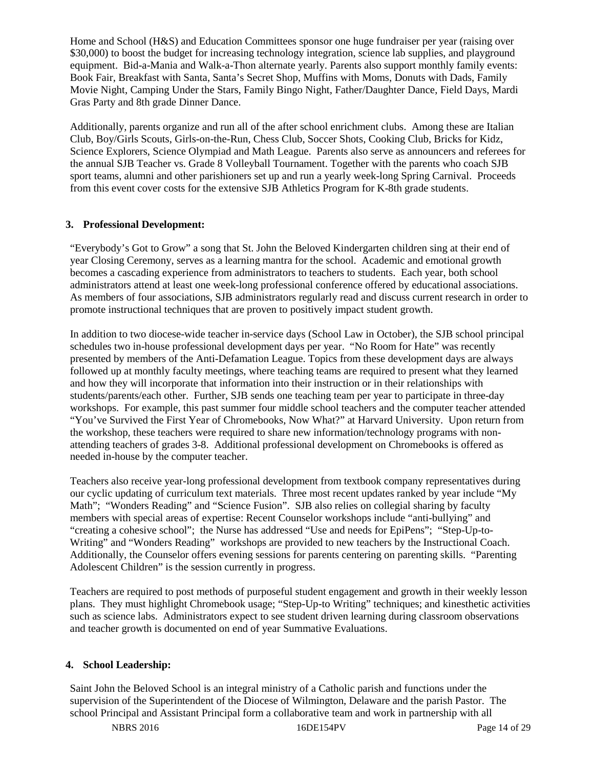Home and School (H&S) and Education Committees sponsor one huge fundraiser per year (raising over \$30,000) to boost the budget for increasing technology integration, science lab supplies, and playground equipment. Bid-a-Mania and Walk-a-Thon alternate yearly. Parents also support monthly family events: Book Fair, Breakfast with Santa, Santa's Secret Shop, Muffins with Moms, Donuts with Dads, Family Movie Night, Camping Under the Stars, Family Bingo Night, Father/Daughter Dance, Field Days, Mardi Gras Party and 8th grade Dinner Dance.

Additionally, parents organize and run all of the after school enrichment clubs. Among these are Italian Club, Boy/Girls Scouts, Girls-on-the-Run, Chess Club, Soccer Shots, Cooking Club, Bricks for Kidz, Science Explorers, Science Olympiad and Math League. Parents also serve as announcers and referees for the annual SJB Teacher vs. Grade 8 Volleyball Tournament. Together with the parents who coach SJB sport teams, alumni and other parishioners set up and run a yearly week-long Spring Carnival. Proceeds from this event cover costs for the extensive SJB Athletics Program for K-8th grade students.

# **3. Professional Development:**

"Everybody's Got to Grow" a song that St. John the Beloved Kindergarten children sing at their end of year Closing Ceremony, serves as a learning mantra for the school. Academic and emotional growth becomes a cascading experience from administrators to teachers to students. Each year, both school administrators attend at least one week-long professional conference offered by educational associations. As members of four associations, SJB administrators regularly read and discuss current research in order to promote instructional techniques that are proven to positively impact student growth.

In addition to two diocese-wide teacher in-service days (School Law in October), the SJB school principal schedules two in-house professional development days per year. "No Room for Hate" was recently presented by members of the Anti-Defamation League. Topics from these development days are always followed up at monthly faculty meetings, where teaching teams are required to present what they learned and how they will incorporate that information into their instruction or in their relationships with students/parents/each other. Further, SJB sends one teaching team per year to participate in three-day workshops. For example, this past summer four middle school teachers and the computer teacher attended "You've Survived the First Year of Chromebooks, Now What?" at Harvard University. Upon return from the workshop, these teachers were required to share new information/technology programs with nonattending teachers of grades 3-8. Additional professional development on Chromebooks is offered as needed in-house by the computer teacher.

Teachers also receive year-long professional development from textbook company representatives during our cyclic updating of curriculum text materials. Three most recent updates ranked by year include "My Math"; "Wonders Reading" and "Science Fusion". SJB also relies on collegial sharing by faculty members with special areas of expertise: Recent Counselor workshops include "anti-bullying" and "creating a cohesive school"; the Nurse has addressed "Use and needs for EpiPens"; "Step-Up-to-Writing" and "Wonders Reading" workshops are provided to new teachers by the Instructional Coach. Additionally, the Counselor offers evening sessions for parents centering on parenting skills. "Parenting Adolescent Children" is the session currently in progress.

Teachers are required to post methods of purposeful student engagement and growth in their weekly lesson plans. They must highlight Chromebook usage; "Step-Up-to Writing" techniques; and kinesthetic activities such as science labs. Administrators expect to see student driven learning during classroom observations and teacher growth is documented on end of year Summative Evaluations.

# **4. School Leadership:**

Saint John the Beloved School is an integral ministry of a Catholic parish and functions under the supervision of the Superintendent of the Diocese of Wilmington, Delaware and the parish Pastor. The school Principal and Assistant Principal form a collaborative team and work in partnership with all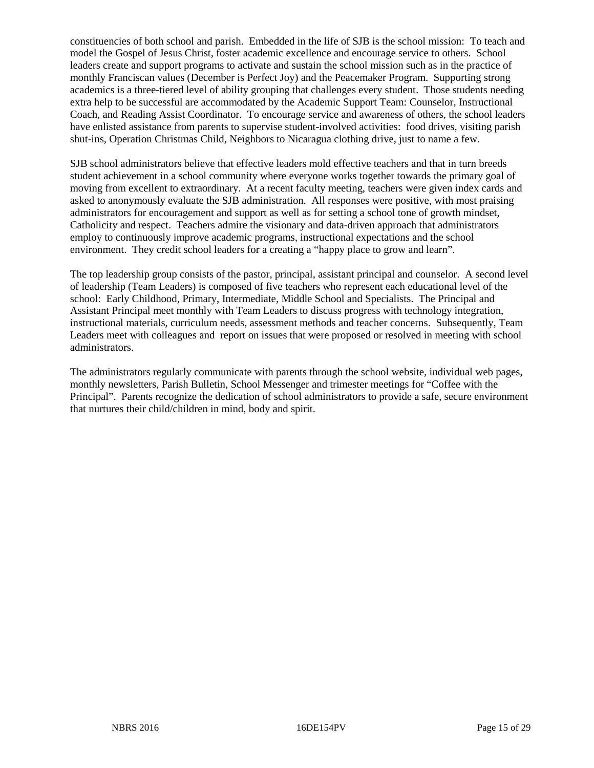constituencies of both school and parish. Embedded in the life of SJB is the school mission: To teach and model the Gospel of Jesus Christ, foster academic excellence and encourage service to others. School leaders create and support programs to activate and sustain the school mission such as in the practice of monthly Franciscan values (December is Perfect Joy) and the Peacemaker Program. Supporting strong academics is a three-tiered level of ability grouping that challenges every student. Those students needing extra help to be successful are accommodated by the Academic Support Team: Counselor, Instructional Coach, and Reading Assist Coordinator. To encourage service and awareness of others, the school leaders have enlisted assistance from parents to supervise student-involved activities: food drives, visiting parish shut-ins, Operation Christmas Child, Neighbors to Nicaragua clothing drive, just to name a few.

SJB school administrators believe that effective leaders mold effective teachers and that in turn breeds student achievement in a school community where everyone works together towards the primary goal of moving from excellent to extraordinary. At a recent faculty meeting, teachers were given index cards and asked to anonymously evaluate the SJB administration. All responses were positive, with most praising administrators for encouragement and support as well as for setting a school tone of growth mindset, Catholicity and respect. Teachers admire the visionary and data-driven approach that administrators employ to continuously improve academic programs, instructional expectations and the school environment. They credit school leaders for a creating a "happy place to grow and learn".

The top leadership group consists of the pastor, principal, assistant principal and counselor. A second level of leadership (Team Leaders) is composed of five teachers who represent each educational level of the school: Early Childhood, Primary, Intermediate, Middle School and Specialists. The Principal and Assistant Principal meet monthly with Team Leaders to discuss progress with technology integration, instructional materials, curriculum needs, assessment methods and teacher concerns. Subsequently, Team Leaders meet with colleagues and report on issues that were proposed or resolved in meeting with school administrators.

The administrators regularly communicate with parents through the school website, individual web pages, monthly newsletters, Parish Bulletin, School Messenger and trimester meetings for "Coffee with the Principal". Parents recognize the dedication of school administrators to provide a safe, secure environment that nurtures their child/children in mind, body and spirit.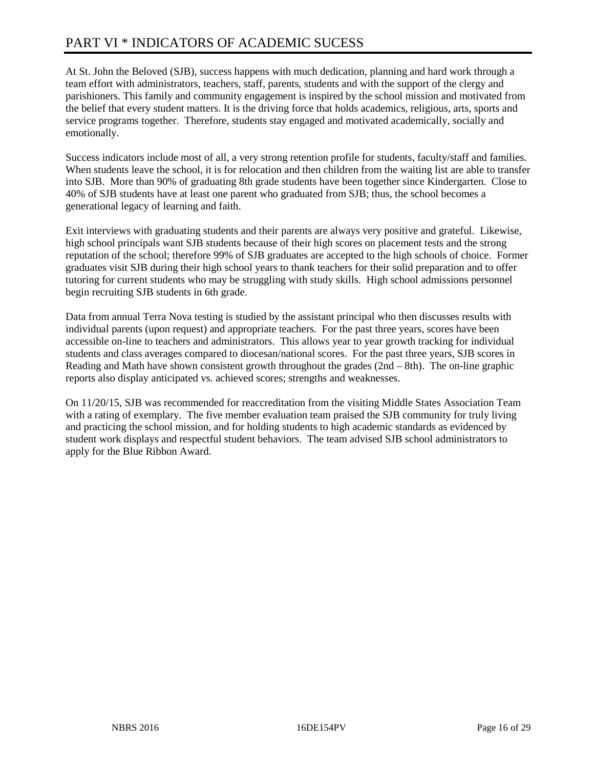# PART VI \* INDICATORS OF ACADEMIC SUCESS

At St. John the Beloved (SJB), success happens with much dedication, planning and hard work through a team effort with administrators, teachers, staff, parents, students and with the support of the clergy and parishioners. This family and community engagement is inspired by the school mission and motivated from the belief that every student matters. It is the driving force that holds academics, religious, arts, sports and service programs together. Therefore, students stay engaged and motivated academically, socially and emotionally.

Success indicators include most of all, a very strong retention profile for students, faculty/staff and families. When students leave the school, it is for relocation and then children from the waiting list are able to transfer into SJB. More than 90% of graduating 8th grade students have been together since Kindergarten. Close to 40% of SJB students have at least one parent who graduated from SJB; thus, the school becomes a generational legacy of learning and faith.

Exit interviews with graduating students and their parents are always very positive and grateful. Likewise, high school principals want SJB students because of their high scores on placement tests and the strong reputation of the school; therefore 99% of SJB graduates are accepted to the high schools of choice. Former graduates visit SJB during their high school years to thank teachers for their solid preparation and to offer tutoring for current students who may be struggling with study skills. High school admissions personnel begin recruiting SJB students in 6th grade.

Data from annual Terra Nova testing is studied by the assistant principal who then discusses results with individual parents (upon request) and appropriate teachers. For the past three years, scores have been accessible on-line to teachers and administrators. This allows year to year growth tracking for individual students and class averages compared to diocesan/national scores. For the past three years, SJB scores in Reading and Math have shown consistent growth throughout the grades (2nd – 8th). The on-line graphic reports also display anticipated vs. achieved scores; strengths and weaknesses.

On 11/20/15, SJB was recommended for reaccreditation from the visiting Middle States Association Team with a rating of exemplary. The five member evaluation team praised the SJB community for truly living and practicing the school mission, and for holding students to high academic standards as evidenced by student work displays and respectful student behaviors. The team advised SJB school administrators to apply for the Blue Ribbon Award.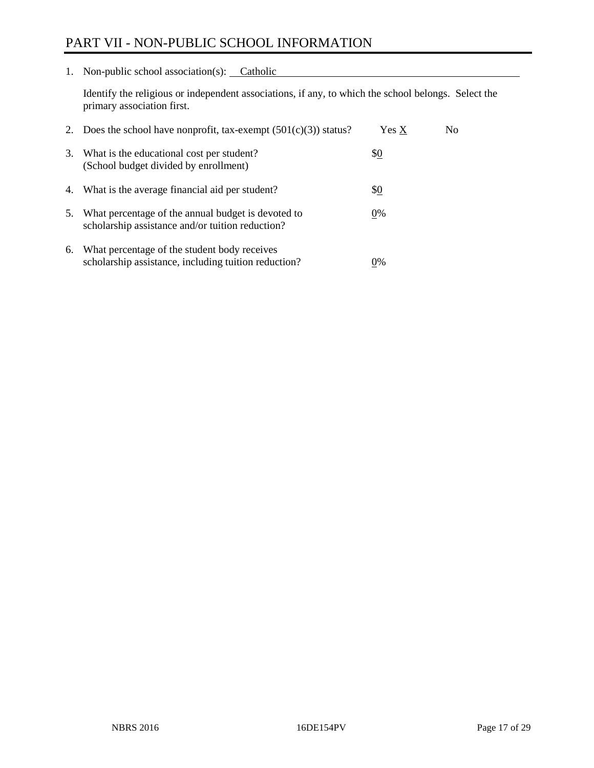# PART VII - NON-PUBLIC SCHOOL INFORMATION

1. Non-public school association(s): Catholic

Identify the religious or independent associations, if any, to which the school belongs. Select the primary association first.

|    | 2. Does the school have nonprofit, tax-exempt $(501(c)(3))$ status?                                    | Yes X | No. |
|----|--------------------------------------------------------------------------------------------------------|-------|-----|
| 3. | What is the educational cost per student?<br>(School budget divided by enrollment)                     | \$0   |     |
| 4. | What is the average financial aid per student?                                                         | \$0   |     |
| 5. | What percentage of the annual budget is devoted to<br>scholarship assistance and/or tuition reduction? | 0%    |     |
| 6. | What percentage of the student body receives<br>scholarship assistance, including tuition reduction?   | $0\%$ |     |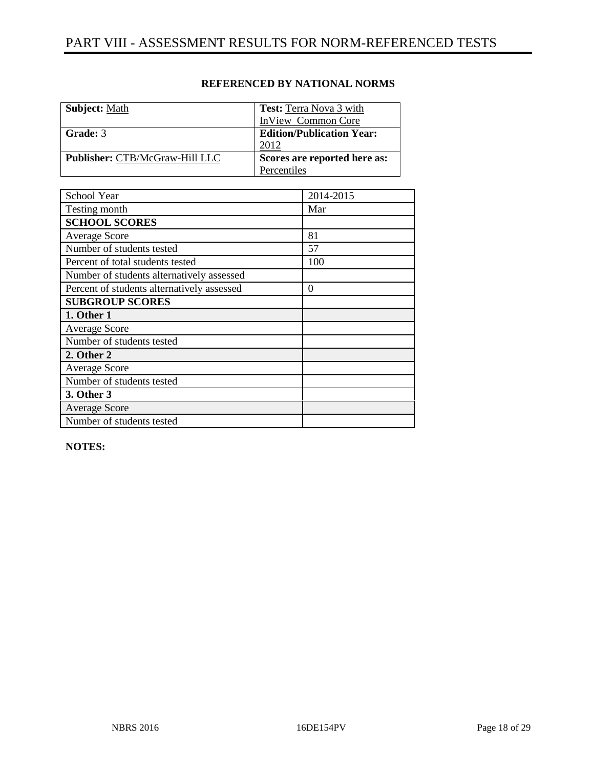| <b>Subject:</b> Math                  | <b>Test:</b> Terra Nova 3 with   |
|---------------------------------------|----------------------------------|
|                                       | InView Common Core               |
| Grade: 3                              | <b>Edition/Publication Year:</b> |
|                                       | 2012                             |
| <b>Publisher: CTB/McGraw-Hill LLC</b> | Scores are reported here as:     |
|                                       | Percentiles                      |

| School Year                                | 2014-2015 |
|--------------------------------------------|-----------|
| Testing month                              | Mar       |
| <b>SCHOOL SCORES</b>                       |           |
| <b>Average Score</b>                       | 81        |
| Number of students tested                  | 57        |
| Percent of total students tested           | 100       |
| Number of students alternatively assessed  |           |
| Percent of students alternatively assessed | $\theta$  |
| <b>SUBGROUP SCORES</b>                     |           |
| 1. Other 1                                 |           |
| <b>Average Score</b>                       |           |
| Number of students tested                  |           |
| 2. Other 2                                 |           |
| <b>Average Score</b>                       |           |
| Number of students tested                  |           |
| 3. Other 3                                 |           |
| <b>Average Score</b>                       |           |
| Number of students tested                  |           |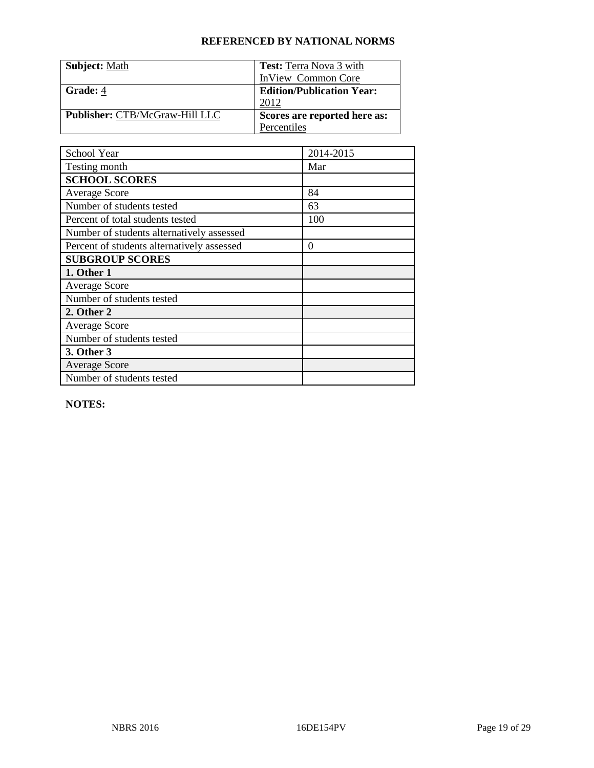| <b>Subject: Math</b>           | <b>Test:</b> Terra Nova 3 with   |
|--------------------------------|----------------------------------|
|                                | <b>InView Common Core</b>        |
| Grade: 4                       | <b>Edition/Publication Year:</b> |
|                                | 2012                             |
| Publisher: CTB/McGraw-Hill LLC | Scores are reported here as:     |
|                                | Percentiles                      |

| School Year                                | 2014-2015 |
|--------------------------------------------|-----------|
| Testing month                              | Mar       |
| <b>SCHOOL SCORES</b>                       |           |
| <b>Average Score</b>                       | 84        |
| Number of students tested                  | 63        |
| Percent of total students tested           | 100       |
| Number of students alternatively assessed  |           |
| Percent of students alternatively assessed | $\theta$  |
| <b>SUBGROUP SCORES</b>                     |           |
| 1. Other 1                                 |           |
| <b>Average Score</b>                       |           |
| Number of students tested                  |           |
| 2. Other 2                                 |           |
| <b>Average Score</b>                       |           |
| Number of students tested                  |           |
| 3. Other 3                                 |           |
| <b>Average Score</b>                       |           |
| Number of students tested                  |           |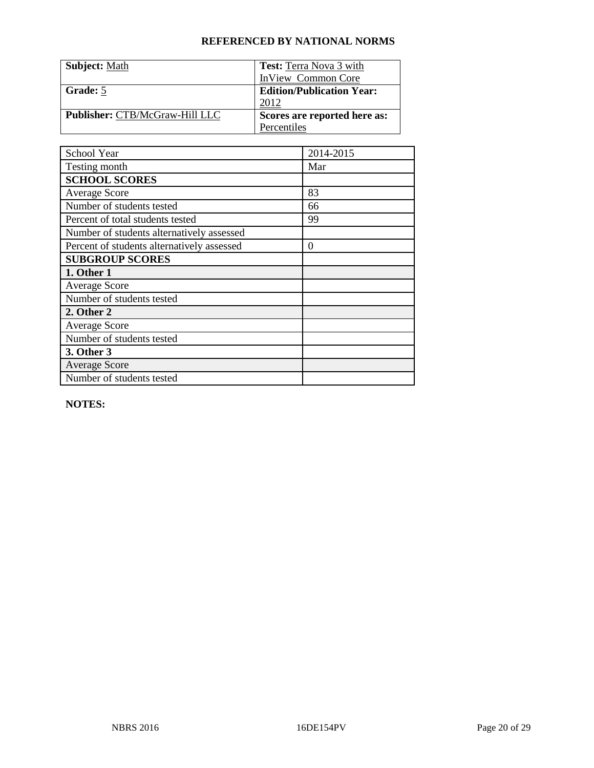| <b>Subject: Math</b>           | <b>Test:</b> Terra Nova 3 with   |
|--------------------------------|----------------------------------|
|                                | <b>InView Common Core</b>        |
| Grade: 5                       | <b>Edition/Publication Year:</b> |
|                                | 2012                             |
| Publisher: CTB/McGraw-Hill LLC | Scores are reported here as:     |
|                                | Percentiles                      |

| School Year                                | 2014-2015 |
|--------------------------------------------|-----------|
| Testing month                              | Mar       |
| <b>SCHOOL SCORES</b>                       |           |
| <b>Average Score</b>                       | 83        |
| Number of students tested                  | 66        |
| Percent of total students tested           | 99        |
| Number of students alternatively assessed  |           |
| Percent of students alternatively assessed | $\theta$  |
| <b>SUBGROUP SCORES</b>                     |           |
| 1. Other 1                                 |           |
| <b>Average Score</b>                       |           |
| Number of students tested                  |           |
| 2. Other 2                                 |           |
| <b>Average Score</b>                       |           |
| Number of students tested                  |           |
| 3. Other 3                                 |           |
| <b>Average Score</b>                       |           |
| Number of students tested                  |           |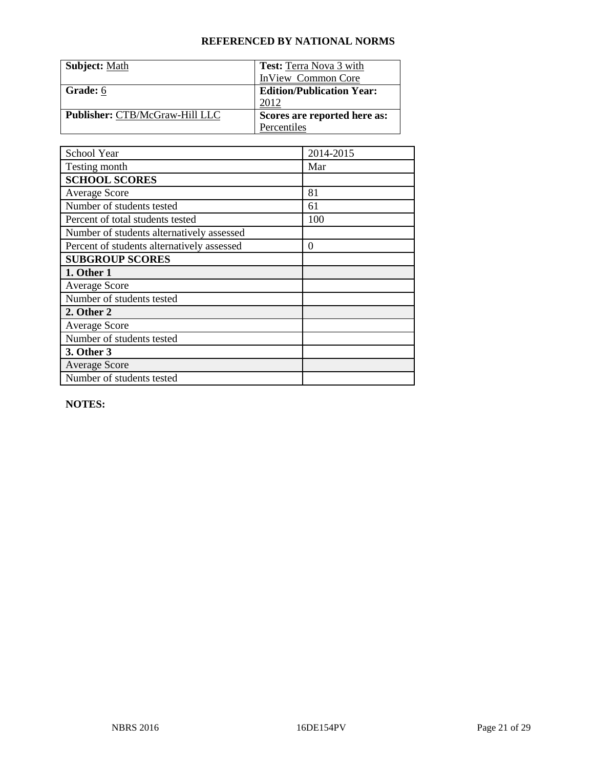| <b>Subject: Math</b>           | <b>Test:</b> Terra Nova 3 with   |
|--------------------------------|----------------------------------|
|                                | <b>InView Common Core</b>        |
| Grade: 6                       | <b>Edition/Publication Year:</b> |
|                                | 2012                             |
| Publisher: CTB/McGraw-Hill LLC | Scores are reported here as:     |
|                                | Percentiles                      |

| School Year                                | 2014-2015 |
|--------------------------------------------|-----------|
| Testing month                              | Mar       |
| <b>SCHOOL SCORES</b>                       |           |
| <b>Average Score</b>                       | 81        |
| Number of students tested                  | 61        |
| Percent of total students tested           | 100       |
| Number of students alternatively assessed  |           |
| Percent of students alternatively assessed | $\theta$  |
| <b>SUBGROUP SCORES</b>                     |           |
| 1. Other 1                                 |           |
| <b>Average Score</b>                       |           |
| Number of students tested                  |           |
| 2. Other 2                                 |           |
| <b>Average Score</b>                       |           |
| Number of students tested                  |           |
| 3. Other 3                                 |           |
| <b>Average Score</b>                       |           |
| Number of students tested                  |           |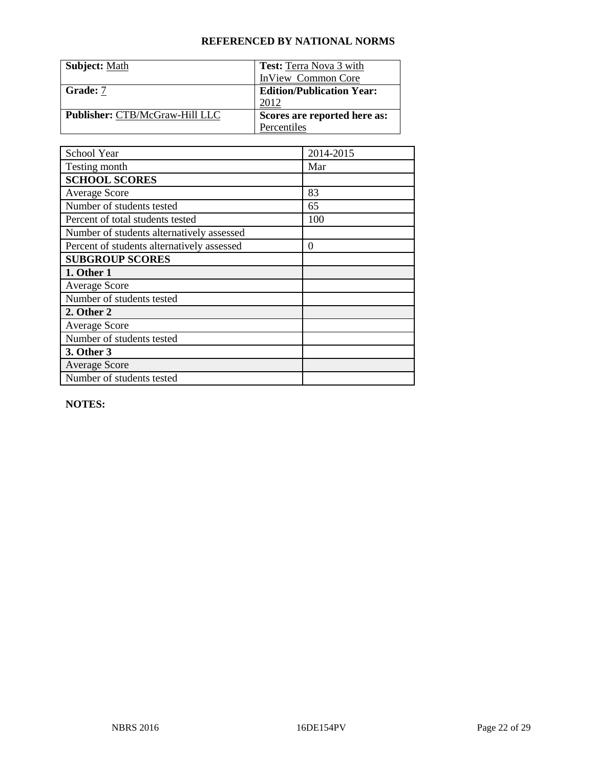| <b>Subject: Math</b>           | <b>Test:</b> Terra Nova 3 with   |
|--------------------------------|----------------------------------|
|                                | <b>InView Common Core</b>        |
| Grade: 7                       | <b>Edition/Publication Year:</b> |
|                                | 2012                             |
| Publisher: CTB/McGraw-Hill LLC | Scores are reported here as:     |
|                                | Percentiles                      |

| School Year                                | 2014-2015 |
|--------------------------------------------|-----------|
| Testing month                              | Mar       |
| <b>SCHOOL SCORES</b>                       |           |
| <b>Average Score</b>                       | 83        |
| Number of students tested                  | 65        |
| Percent of total students tested           | 100       |
| Number of students alternatively assessed  |           |
| Percent of students alternatively assessed | $\theta$  |
| <b>SUBGROUP SCORES</b>                     |           |
| 1. Other 1                                 |           |
| <b>Average Score</b>                       |           |
| Number of students tested                  |           |
| 2. Other 2                                 |           |
| <b>Average Score</b>                       |           |
| Number of students tested                  |           |
| 3. Other 3                                 |           |
| <b>Average Score</b>                       |           |
| Number of students tested                  |           |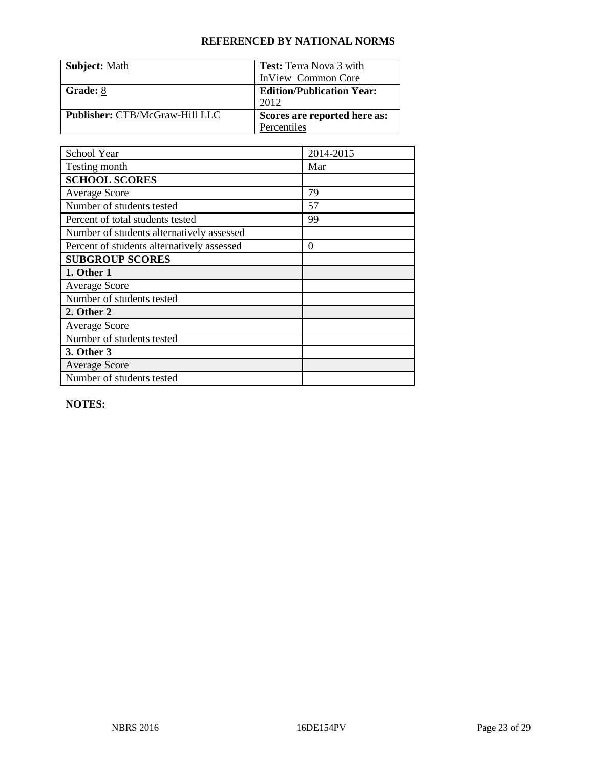| <b>Subject: Math</b>                  | <b>Test:</b> Terra Nova 3 with   |
|---------------------------------------|----------------------------------|
|                                       | InView Common Core               |
| Grade: 8                              | <b>Edition/Publication Year:</b> |
|                                       | 2012                             |
| <b>Publisher: CTB/McGraw-Hill LLC</b> | Scores are reported here as:     |
|                                       | Percentiles                      |

| School Year                                | 2014-2015 |
|--------------------------------------------|-----------|
| Testing month                              | Mar       |
| <b>SCHOOL SCORES</b>                       |           |
| <b>Average Score</b>                       | 79        |
| Number of students tested                  | 57        |
| Percent of total students tested           | 99        |
| Number of students alternatively assessed  |           |
| Percent of students alternatively assessed | $\theta$  |
| <b>SUBGROUP SCORES</b>                     |           |
| 1. Other 1                                 |           |
| <b>Average Score</b>                       |           |
| Number of students tested                  |           |
| 2. Other 2                                 |           |
| <b>Average Score</b>                       |           |
| Number of students tested                  |           |
| 3. Other 3                                 |           |
| <b>Average Score</b>                       |           |
| Number of students tested                  |           |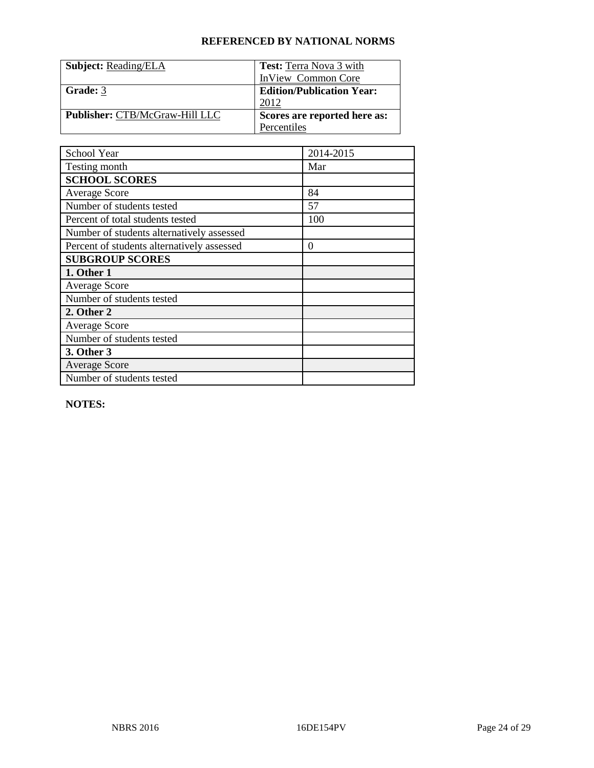| <b>Subject: Reading/ELA</b>           | <b>Test:</b> Terra Nova 3 with   |
|---------------------------------------|----------------------------------|
|                                       | InView Common Core               |
| Grade: 3                              | <b>Edition/Publication Year:</b> |
|                                       | 2012                             |
| <b>Publisher: CTB/McGraw-Hill LLC</b> | Scores are reported here as:     |
|                                       | Percentiles                      |

| School Year                                | 2014-2015 |
|--------------------------------------------|-----------|
| Testing month                              | Mar       |
| <b>SCHOOL SCORES</b>                       |           |
| <b>Average Score</b>                       | 84        |
| Number of students tested                  | 57        |
| Percent of total students tested           | 100       |
| Number of students alternatively assessed  |           |
| Percent of students alternatively assessed | $\theta$  |
| <b>SUBGROUP SCORES</b>                     |           |
| 1. Other 1                                 |           |
| <b>Average Score</b>                       |           |
| Number of students tested                  |           |
| 2. Other 2                                 |           |
| <b>Average Score</b>                       |           |
| Number of students tested                  |           |
| 3. Other 3                                 |           |
| <b>Average Score</b>                       |           |
| Number of students tested                  |           |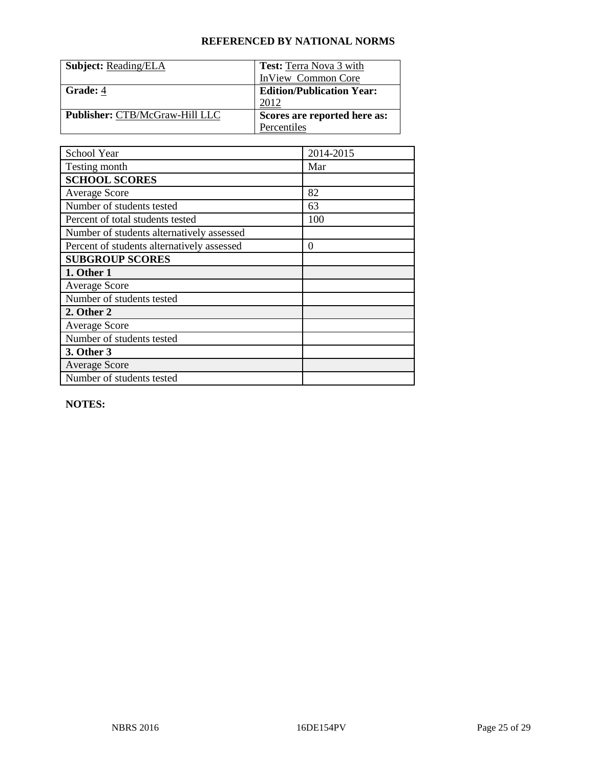| <b>Subject: Reading/ELA</b>           | <b>Test:</b> Terra Nova 3 with   |
|---------------------------------------|----------------------------------|
|                                       | InView Common Core               |
| Grade: 4                              | <b>Edition/Publication Year:</b> |
|                                       | 2012                             |
| <b>Publisher: CTB/McGraw-Hill LLC</b> | Scores are reported here as:     |
|                                       | Percentiles                      |

| School Year                                | 2014-2015 |
|--------------------------------------------|-----------|
| Testing month                              | Mar       |
| <b>SCHOOL SCORES</b>                       |           |
| <b>Average Score</b>                       | 82        |
| Number of students tested                  | 63        |
| Percent of total students tested           | 100       |
| Number of students alternatively assessed  |           |
| Percent of students alternatively assessed | $\theta$  |
| <b>SUBGROUP SCORES</b>                     |           |
| 1. Other 1                                 |           |
| <b>Average Score</b>                       |           |
| Number of students tested                  |           |
| 2. Other 2                                 |           |
| <b>Average Score</b>                       |           |
| Number of students tested                  |           |
| 3. Other 3                                 |           |
| <b>Average Score</b>                       |           |
| Number of students tested                  |           |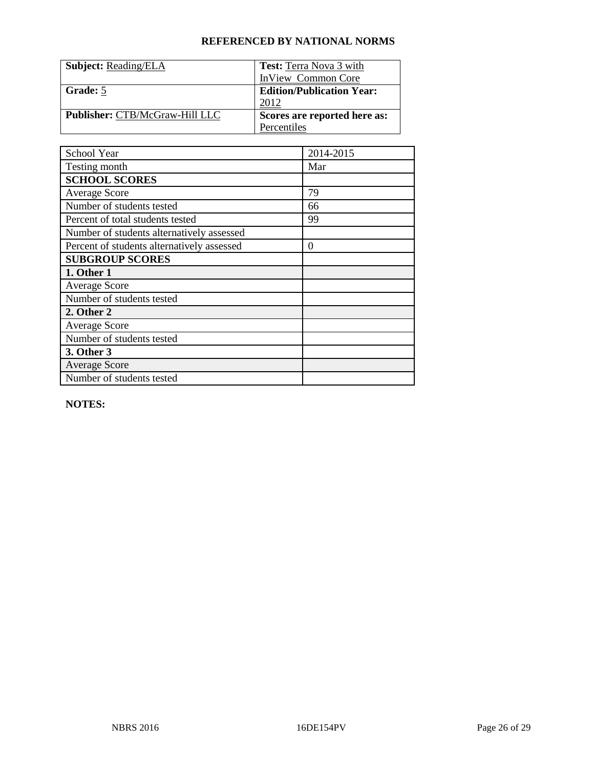| <b>Subject: Reading/ELA</b>           | <b>Test:</b> Terra Nova 3 with   |
|---------------------------------------|----------------------------------|
|                                       | InView Common Core               |
| Grade: 5                              | <b>Edition/Publication Year:</b> |
|                                       | 2012                             |
| <b>Publisher: CTB/McGraw-Hill LLC</b> | Scores are reported here as:     |
|                                       | Percentiles                      |

| School Year                                | 2014-2015 |
|--------------------------------------------|-----------|
| Testing month                              | Mar       |
| <b>SCHOOL SCORES</b>                       |           |
| <b>Average Score</b>                       | 79        |
| Number of students tested                  | 66        |
| Percent of total students tested           | 99        |
| Number of students alternatively assessed  |           |
| Percent of students alternatively assessed | $\theta$  |
| <b>SUBGROUP SCORES</b>                     |           |
| 1. Other 1                                 |           |
| <b>Average Score</b>                       |           |
| Number of students tested                  |           |
| 2. Other 2                                 |           |
| <b>Average Score</b>                       |           |
| Number of students tested                  |           |
| 3. Other 3                                 |           |
| <b>Average Score</b>                       |           |
| Number of students tested                  |           |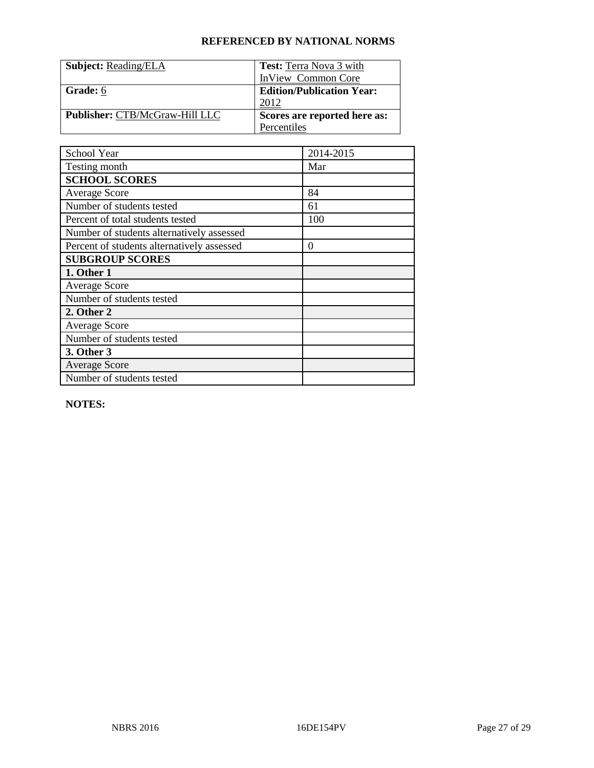| <b>Subject: Reading/ELA</b>           | <b>Test:</b> Terra Nova 3 with   |
|---------------------------------------|----------------------------------|
|                                       | InView Common Core               |
| Grade: 6                              | <b>Edition/Publication Year:</b> |
|                                       | 2012                             |
| <b>Publisher: CTB/McGraw-Hill LLC</b> | Scores are reported here as:     |
|                                       | Percentiles                      |

| School Year                                | 2014-2015 |
|--------------------------------------------|-----------|
| Testing month                              | Mar       |
| <b>SCHOOL SCORES</b>                       |           |
| <b>Average Score</b>                       | 84        |
| Number of students tested                  | 61        |
| Percent of total students tested           | 100       |
| Number of students alternatively assessed  |           |
| Percent of students alternatively assessed | $\theta$  |
| <b>SUBGROUP SCORES</b>                     |           |
| 1. Other 1                                 |           |
| <b>Average Score</b>                       |           |
| Number of students tested                  |           |
| 2. Other 2                                 |           |
| <b>Average Score</b>                       |           |
| Number of students tested                  |           |
| 3. Other 3                                 |           |
| <b>Average Score</b>                       |           |
| Number of students tested                  |           |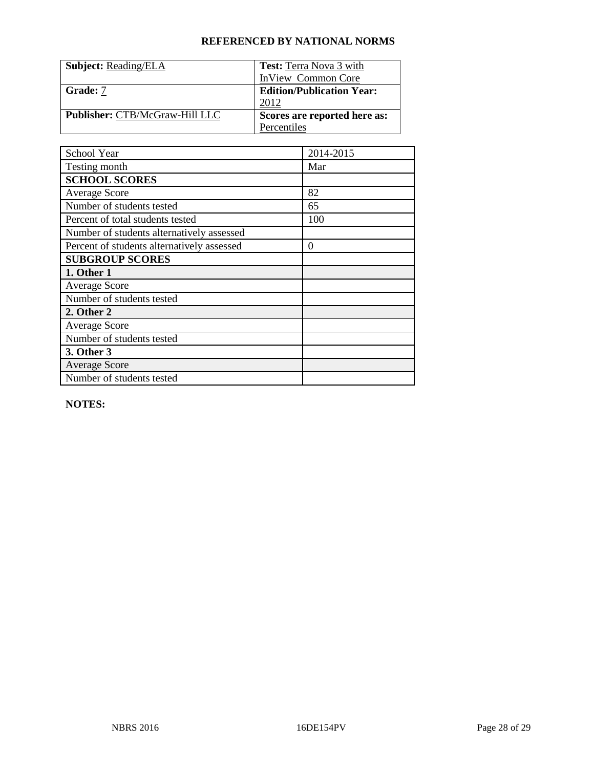| <b>Subject: Reading/ELA</b>           | <b>Test:</b> Terra Nova 3 with   |
|---------------------------------------|----------------------------------|
|                                       | InView Common Core               |
| Grade: 7                              | <b>Edition/Publication Year:</b> |
|                                       | 2012                             |
| <b>Publisher: CTB/McGraw-Hill LLC</b> | Scores are reported here as:     |
|                                       | Percentiles                      |

| School Year                                | 2014-2015 |
|--------------------------------------------|-----------|
| Testing month                              | Mar       |
| <b>SCHOOL SCORES</b>                       |           |
| <b>Average Score</b>                       | 82        |
| Number of students tested                  | 65        |
| Percent of total students tested           | 100       |
| Number of students alternatively assessed  |           |
| Percent of students alternatively assessed | $\theta$  |
| <b>SUBGROUP SCORES</b>                     |           |
| 1. Other 1                                 |           |
| <b>Average Score</b>                       |           |
| Number of students tested                  |           |
| 2. Other 2                                 |           |
| <b>Average Score</b>                       |           |
| Number of students tested                  |           |
| 3. Other 3                                 |           |
| <b>Average Score</b>                       |           |
| Number of students tested                  |           |